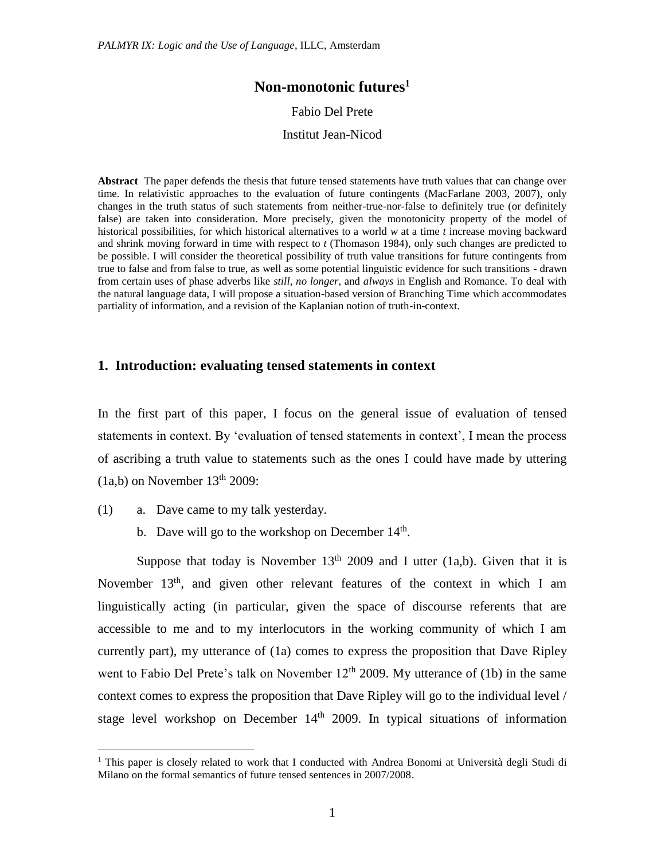# **Non-monotonic futures<sup>1</sup>**

#### Fabio Del Prete

#### Institut Jean-Nicod

**Abstract** The paper defends the thesis that future tensed statements have truth values that can change over time. In relativistic approaches to the evaluation of future contingents (MacFarlane 2003, 2007), only changes in the truth status of such statements from neither-true-nor-false to definitely true (or definitely false) are taken into consideration. More precisely, given the monotonicity property of the model of historical possibilities, for which historical alternatives to a world *w* at a time *t* increase moving backward and shrink moving forward in time with respect to *t* (Thomason 1984), only such changes are predicted to be possible. I will consider the theoretical possibility of truth value transitions for future contingents from true to false and from false to true, as well as some potential linguistic evidence for such transitions - drawn from certain uses of phase adverbs like *still*, *no longer*, and *always* in English and Romance. To deal with the natural language data, I will propose a situation-based version of Branching Time which accommodates partiality of information, and a revision of the Kaplanian notion of truth-in-context.

### **1. Introduction: evaluating tensed statements in context**

In the first part of this paper, I focus on the general issue of evaluation of tensed statements in context. By 'evaluation of tensed statements in context', I mean the process of ascribing a truth value to statements such as the ones I could have made by uttering  $(1a,b)$  on November  $13<sup>th</sup> 2009$ :

(1) a. Dave came to my talk yesterday.

 $\overline{a}$ 

b. Dave will go to the workshop on December  $14<sup>th</sup>$ .

Suppose that today is November  $13<sup>th</sup>$  2009 and I utter (1a,b). Given that it is November 13<sup>th</sup>, and given other relevant features of the context in which I am linguistically acting (in particular, given the space of discourse referents that are accessible to me and to my interlocutors in the working community of which I am currently part), my utterance of (1a) comes to express the proposition that Dave Ripley went to Fabio Del Prete's talk on November  $12<sup>th</sup>$  2009. My utterance of (1b) in the same context comes to express the proposition that Dave Ripley will go to the individual level / stage level workshop on December  $14<sup>th</sup>$  2009. In typical situations of information

<sup>&</sup>lt;sup>1</sup> This paper is closely related to work that I conducted with Andrea Bonomi at Università degli Studi di Milano on the formal semantics of future tensed sentences in 2007/2008.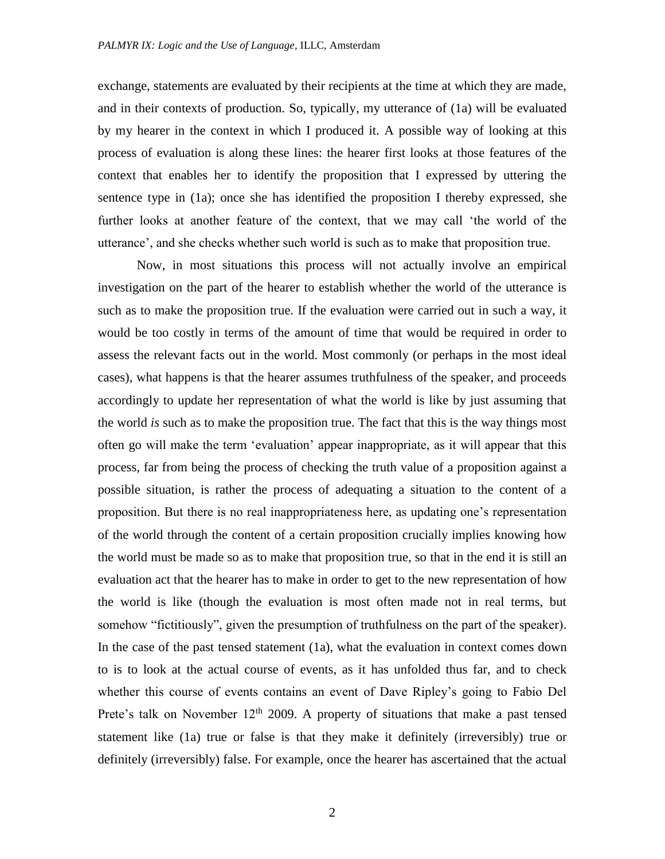exchange, statements are evaluated by their recipients at the time at which they are made, and in their contexts of production. So, typically, my utterance of (1a) will be evaluated by my hearer in the context in which I produced it. A possible way of looking at this process of evaluation is along these lines: the hearer first looks at those features of the context that enables her to identify the proposition that I expressed by uttering the sentence type in (1a); once she has identified the proposition I thereby expressed, she further looks at another feature of the context, that we may call 'the world of the utterance', and she checks whether such world is such as to make that proposition true.

Now, in most situations this process will not actually involve an empirical investigation on the part of the hearer to establish whether the world of the utterance is such as to make the proposition true. If the evaluation were carried out in such a way, it would be too costly in terms of the amount of time that would be required in order to assess the relevant facts out in the world. Most commonly (or perhaps in the most ideal cases), what happens is that the hearer assumes truthfulness of the speaker, and proceeds accordingly to update her representation of what the world is like by just assuming that the world *is* such as to make the proposition true. The fact that this is the way things most often go will make the term 'evaluation' appear inappropriate, as it will appear that this process, far from being the process of checking the truth value of a proposition against a possible situation, is rather the process of adequating a situation to the content of a proposition. But there is no real inappropriateness here, as updating one's representation of the world through the content of a certain proposition crucially implies knowing how the world must be made so as to make that proposition true, so that in the end it is still an evaluation act that the hearer has to make in order to get to the new representation of how the world is like (though the evaluation is most often made not in real terms, but somehow "fictitiously", given the presumption of truthfulness on the part of the speaker). In the case of the past tensed statement (1a), what the evaluation in context comes down to is to look at the actual course of events, as it has unfolded thus far, and to check whether this course of events contains an event of Dave Ripley's going to Fabio Del Prete's talk on November  $12<sup>th</sup>$  2009. A property of situations that make a past tensed statement like (1a) true or false is that they make it definitely (irreversibly) true or definitely (irreversibly) false. For example, once the hearer has ascertained that the actual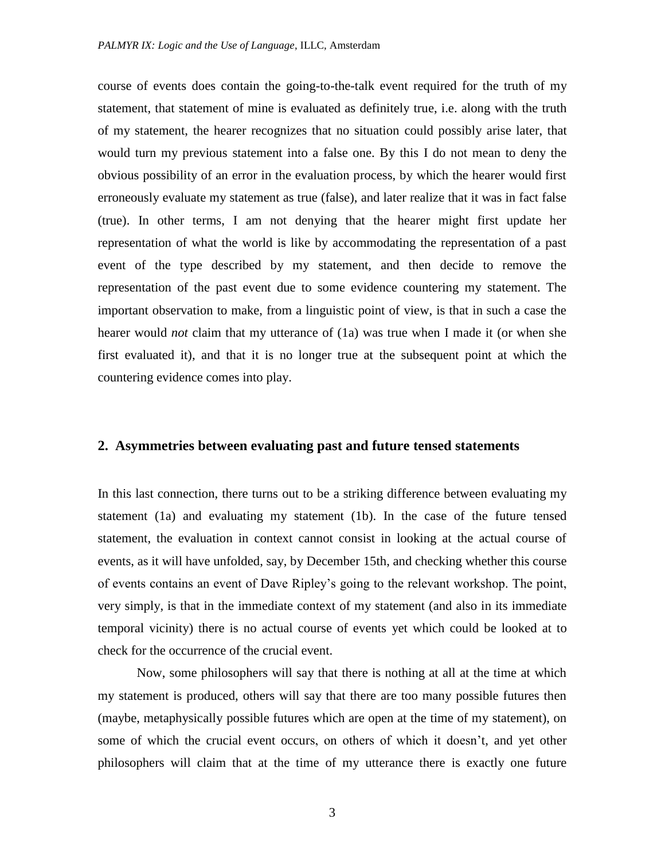course of events does contain the going-to-the-talk event required for the truth of my statement, that statement of mine is evaluated as definitely true, i.e. along with the truth of my statement, the hearer recognizes that no situation could possibly arise later, that would turn my previous statement into a false one. By this I do not mean to deny the obvious possibility of an error in the evaluation process, by which the hearer would first erroneously evaluate my statement as true (false), and later realize that it was in fact false (true). In other terms, I am not denying that the hearer might first update her representation of what the world is like by accommodating the representation of a past event of the type described by my statement, and then decide to remove the representation of the past event due to some evidence countering my statement. The important observation to make, from a linguistic point of view, is that in such a case the hearer would *not* claim that my utterance of (1a) was true when I made it (or when she first evaluated it), and that it is no longer true at the subsequent point at which the countering evidence comes into play.

#### **2. Asymmetries between evaluating past and future tensed statements**

In this last connection, there turns out to be a striking difference between evaluating my statement (1a) and evaluating my statement (1b). In the case of the future tensed statement, the evaluation in context cannot consist in looking at the actual course of events, as it will have unfolded, say, by December 15th, and checking whether this course of events contains an event of Dave Ripley's going to the relevant workshop. The point, very simply, is that in the immediate context of my statement (and also in its immediate temporal vicinity) there is no actual course of events yet which could be looked at to check for the occurrence of the crucial event.

Now, some philosophers will say that there is nothing at all at the time at which my statement is produced, others will say that there are too many possible futures then (maybe, metaphysically possible futures which are open at the time of my statement), on some of which the crucial event occurs, on others of which it doesn't, and yet other philosophers will claim that at the time of my utterance there is exactly one future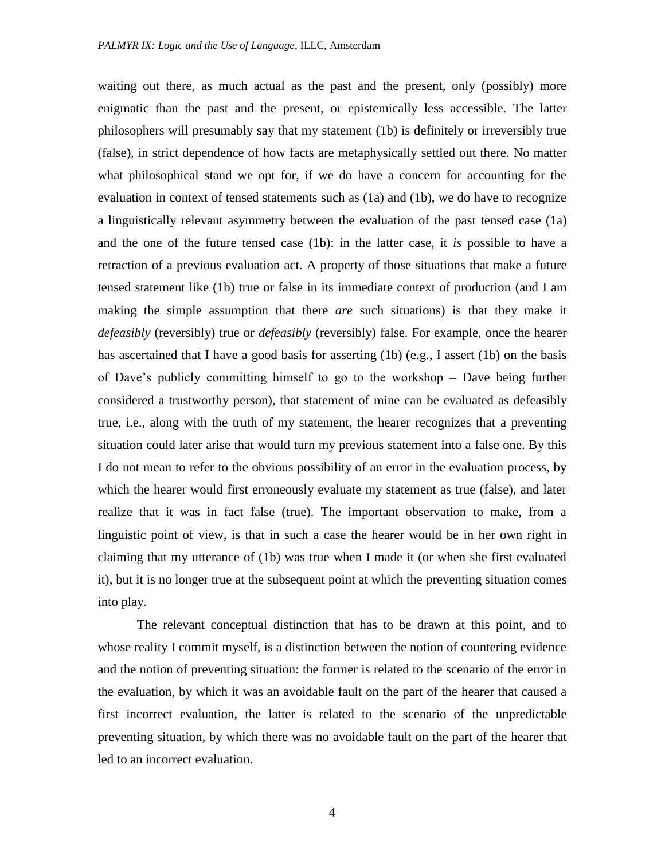waiting out there, as much actual as the past and the present, only (possibly) more enigmatic than the past and the present, or epistemically less accessible. The latter philosophers will presumably say that my statement (1b) is definitely or irreversibly true (false), in strict dependence of how facts are metaphysically settled out there. No matter what philosophical stand we opt for, if we do have a concern for accounting for the evaluation in context of tensed statements such as (1a) and (1b), we do have to recognize a linguistically relevant asymmetry between the evaluation of the past tensed case (1a) and the one of the future tensed case (1b): in the latter case, it *is* possible to have a retraction of a previous evaluation act. A property of those situations that make a future tensed statement like (1b) true or false in its immediate context of production (and I am making the simple assumption that there *are* such situations) is that they make it *defeasibly* (reversibly) true or *defeasibly* (reversibly) false. For example, once the hearer has ascertained that I have a good basis for asserting (1b) (e.g., I assert (1b) on the basis of Dave's publicly committing himself to go to the workshop – Dave being further considered a trustworthy person), that statement of mine can be evaluated as defeasibly true, i.e., along with the truth of my statement, the hearer recognizes that a preventing situation could later arise that would turn my previous statement into a false one. By this I do not mean to refer to the obvious possibility of an error in the evaluation process, by which the hearer would first erroneously evaluate my statement as true (false), and later realize that it was in fact false (true). The important observation to make, from a linguistic point of view, is that in such a case the hearer would be in her own right in claiming that my utterance of (1b) was true when I made it (or when she first evaluated it), but it is no longer true at the subsequent point at which the preventing situation comes into play.

The relevant conceptual distinction that has to be drawn at this point, and to whose reality I commit myself, is a distinction between the notion of countering evidence and the notion of preventing situation: the former is related to the scenario of the error in the evaluation, by which it was an avoidable fault on the part of the hearer that caused a first incorrect evaluation, the latter is related to the scenario of the unpredictable preventing situation, by which there was no avoidable fault on the part of the hearer that led to an incorrect evaluation.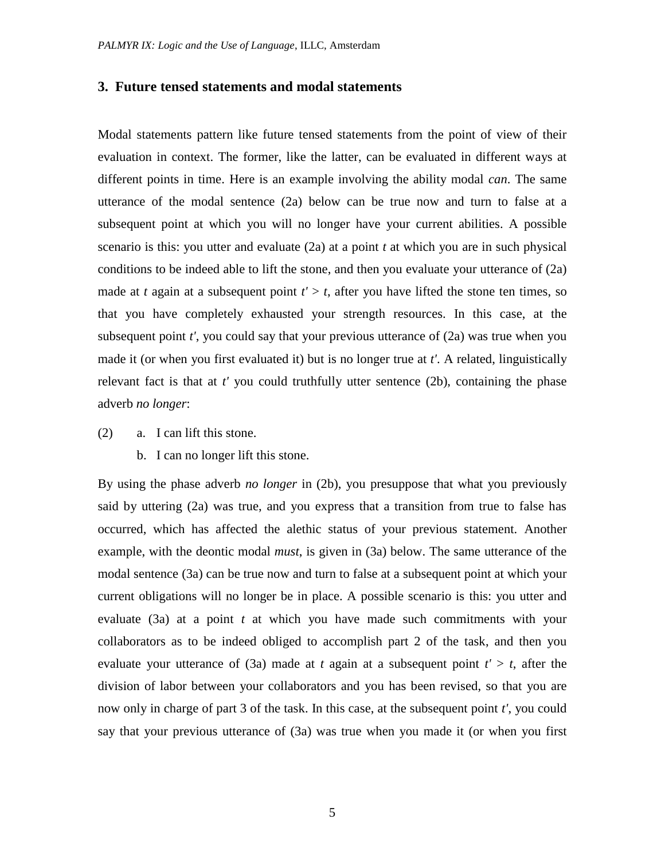#### **3. Future tensed statements and modal statements**

Modal statements pattern like future tensed statements from the point of view of their evaluation in context. The former, like the latter, can be evaluated in different ways at different points in time. Here is an example involving the ability modal *can*. The same utterance of the modal sentence (2a) below can be true now and turn to false at a subsequent point at which you will no longer have your current abilities. A possible scenario is this: you utter and evaluate (2a) at a point *t* at which you are in such physical conditions to be indeed able to lift the stone, and then you evaluate your utterance of (2a) made at *t* again at a subsequent point  $t' > t$ , after you have lifted the stone ten times, so that you have completely exhausted your strength resources. In this case, at the subsequent point *t'*, you could say that your previous utterance of (2a) was true when you made it (or when you first evaluated it) but is no longer true at *t'*. A related, linguistically relevant fact is that at *t'* you could truthfully utter sentence (2b), containing the phase adverb *no longer*:

- (2) a. I can lift this stone.
	- b. I can no longer lift this stone.

By using the phase adverb *no longer* in (2b), you presuppose that what you previously said by uttering (2a) was true, and you express that a transition from true to false has occurred, which has affected the alethic status of your previous statement. Another example, with the deontic modal *must*, is given in (3a) below. The same utterance of the modal sentence (3a) can be true now and turn to false at a subsequent point at which your current obligations will no longer be in place. A possible scenario is this: you utter and evaluate (3a) at a point *t* at which you have made such commitments with your collaborators as to be indeed obliged to accomplish part 2 of the task, and then you evaluate your utterance of (3a) made at *t* again at a subsequent point  $t' > t$ , after the division of labor between your collaborators and you has been revised, so that you are now only in charge of part 3 of the task. In this case, at the subsequent point *t'*, you could say that your previous utterance of (3a) was true when you made it (or when you first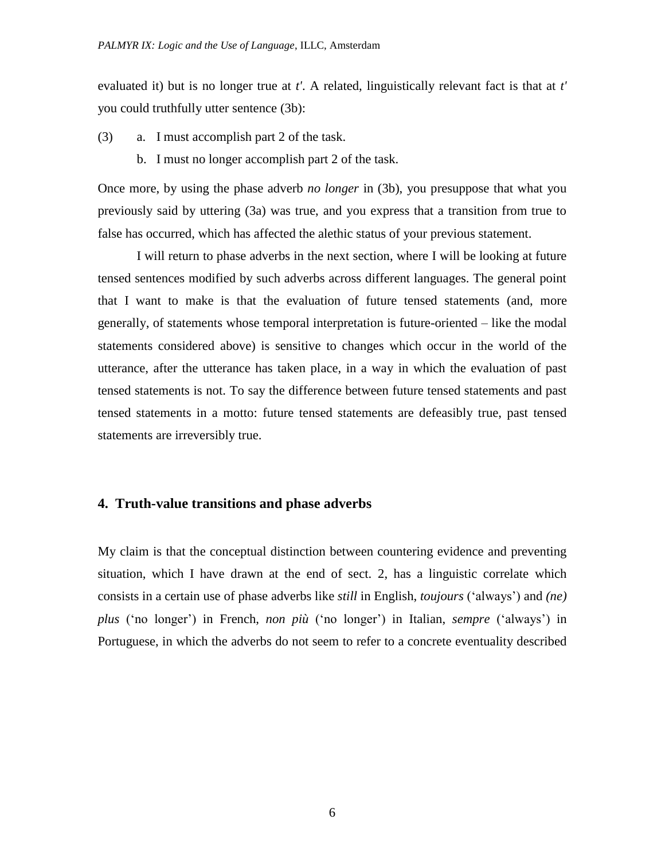evaluated it) but is no longer true at *t'*. A related, linguistically relevant fact is that at *t'* you could truthfully utter sentence (3b):

- (3) a. I must accomplish part 2 of the task.
	- b. I must no longer accomplish part 2 of the task.

Once more, by using the phase adverb *no longer* in (3b), you presuppose that what you previously said by uttering (3a) was true, and you express that a transition from true to false has occurred, which has affected the alethic status of your previous statement.

I will return to phase adverbs in the next section, where I will be looking at future tensed sentences modified by such adverbs across different languages. The general point that I want to make is that the evaluation of future tensed statements (and, more generally, of statements whose temporal interpretation is future-oriented – like the modal statements considered above) is sensitive to changes which occur in the world of the utterance, after the utterance has taken place, in a way in which the evaluation of past tensed statements is not. To say the difference between future tensed statements and past tensed statements in a motto: future tensed statements are defeasibly true, past tensed statements are irreversibly true.

# **4. Truth-value transitions and phase adverbs**

My claim is that the conceptual distinction between countering evidence and preventing situation, which I have drawn at the end of sect. 2, has a linguistic correlate which consists in a certain use of phase adverbs like *still* in English, *toujours* ('always') and *(ne) plus* ('no longer') in French, *non più* ('no longer') in Italian, *sempre* ('always') in Portuguese, in which the adverbs do not seem to refer to a concrete eventuality described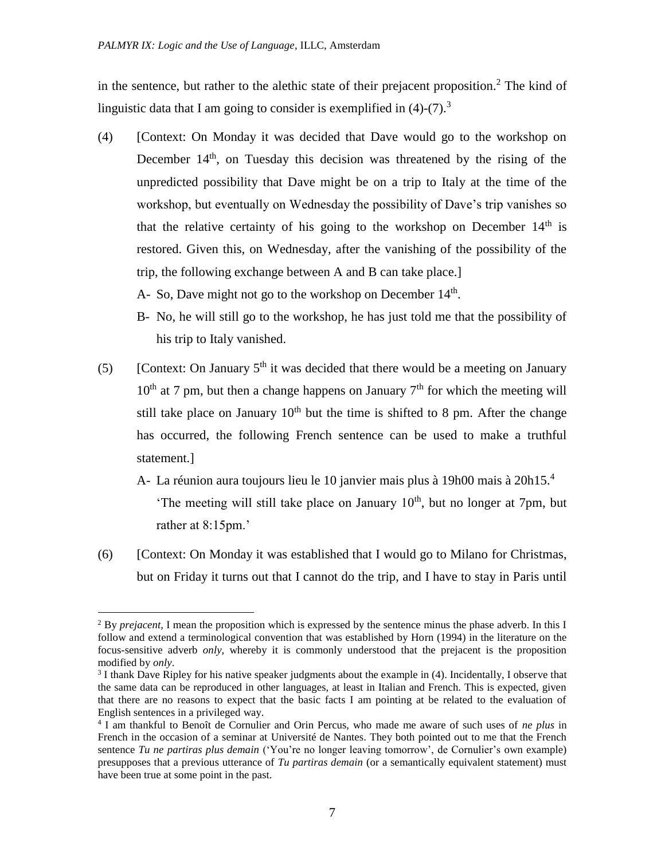in the sentence, but rather to the alethic state of their prejacent proposition. <sup>2</sup> The kind of linguistic data that I am going to consider is exemplified in  $(4)-(7)$ .<sup>3</sup>

- (4) [Context: On Monday it was decided that Dave would go to the workshop on December  $14<sup>th</sup>$ , on Tuesday this decision was threatened by the rising of the unpredicted possibility that Dave might be on a trip to Italy at the time of the workshop, but eventually on Wednesday the possibility of Dave's trip vanishes so that the relative certainty of his going to the workshop on December  $14<sup>th</sup>$  is restored. Given this, on Wednesday, after the vanishing of the possibility of the trip, the following exchange between A and B can take place.]
	- A- So, Dave might not go to the workshop on December 14<sup>th</sup>.
	- B- No, he will still go to the workshop, he has just told me that the possibility of his trip to Italy vanished.
- (5) [Context: On January  $5<sup>th</sup>$  it was decided that there would be a meeting on January  $10<sup>th</sup>$  at 7 pm, but then a change happens on January 7<sup>th</sup> for which the meeting will still take place on January  $10<sup>th</sup>$  but the time is shifted to 8 pm. After the change has occurred, the following French sentence can be used to make a truthful statement.]
	- A- La réunion aura toujours lieu le 10 janvier mais plus à 19h00 mais à  $20h15<sup>4</sup>$ 'The meeting will still take place on January  $10<sup>th</sup>$ , but no longer at 7pm, but rather at 8:15pm.'
- (6) [Context: On Monday it was established that I would go to Milano for Christmas, but on Friday it turns out that I cannot do the trip, and I have to stay in Paris until

 $\overline{a}$ 

<sup>2</sup> By *prejacent*, I mean the proposition which is expressed by the sentence minus the phase adverb. In this I follow and extend a terminological convention that was established by Horn (1994) in the literature on the focus-sensitive adverb *only*, whereby it is commonly understood that the prejacent is the proposition modified by *only*.

<sup>3</sup> I thank Dave Ripley for his native speaker judgments about the example in (4). Incidentally, I observe that the same data can be reproduced in other languages, at least in Italian and French. This is expected, given that there are no reasons to expect that the basic facts I am pointing at be related to the evaluation of English sentences in a privileged way.

<sup>&</sup>lt;sup>4</sup> I am thankful to Benoît de Cornulier and Orin Percus, who made me aware of such uses of *ne plus* in French in the occasion of a seminar at Université de Nantes. They both pointed out to me that the French sentence *Tu ne partiras plus demain* ('You're no longer leaving tomorrow', de Cornulier's own example) presupposes that a previous utterance of *Tu partiras demain* (or a semantically equivalent statement) must have been true at some point in the past.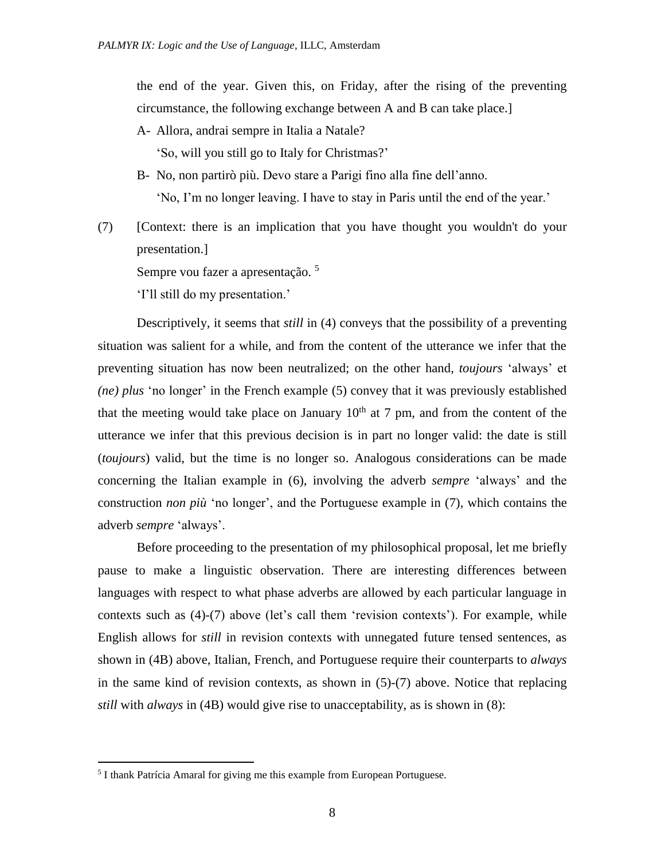the end of the year. Given this, on Friday, after the rising of the preventing circumstance, the following exchange between A and B can take place.]

A- Allora, andrai sempre in Italia a Natale?

'So, will you still go to Italy for Christmas?'

- B- No, non partirò più. Devo stare a Parigi fino alla fine dell'anno. 'No, I'm no longer leaving. I have to stay in Paris until the end of the year.'
- (7) [Context: there is an implication that you have thought you wouldn't do your presentation.]

Sempre vou fazer a apresentação.<sup>5</sup>

'I'll still do my presentation.'

Descriptively, it seems that *still* in (4) conveys that the possibility of a preventing situation was salient for a while, and from the content of the utterance we infer that the preventing situation has now been neutralized; on the other hand, *toujours* 'always' et *(ne) plus* 'no longer' in the French example (5) convey that it was previously established that the meeting would take place on January  $10<sup>th</sup>$  at 7 pm, and from the content of the utterance we infer that this previous decision is in part no longer valid: the date is still (*toujours*) valid, but the time is no longer so. Analogous considerations can be made concerning the Italian example in (6), involving the adverb *sempre* 'always' and the construction *non più* 'no longer', and the Portuguese example in (7), which contains the adverb *sempre* 'always'.

Before proceeding to the presentation of my philosophical proposal, let me briefly pause to make a linguistic observation. There are interesting differences between languages with respect to what phase adverbs are allowed by each particular language in contexts such as (4)-(7) above (let's call them 'revision contexts'). For example, while English allows for *still* in revision contexts with unnegated future tensed sentences, as shown in (4B) above, Italian, French, and Portuguese require their counterparts to *always* in the same kind of revision contexts, as shown in (5)-(7) above. Notice that replacing *still* with *always* in (4B) would give rise to unacceptability, as is shown in (8):

 $\overline{a}$ 

<sup>&</sup>lt;sup>5</sup> I thank Patrícia Amaral for giving me this example from European Portuguese.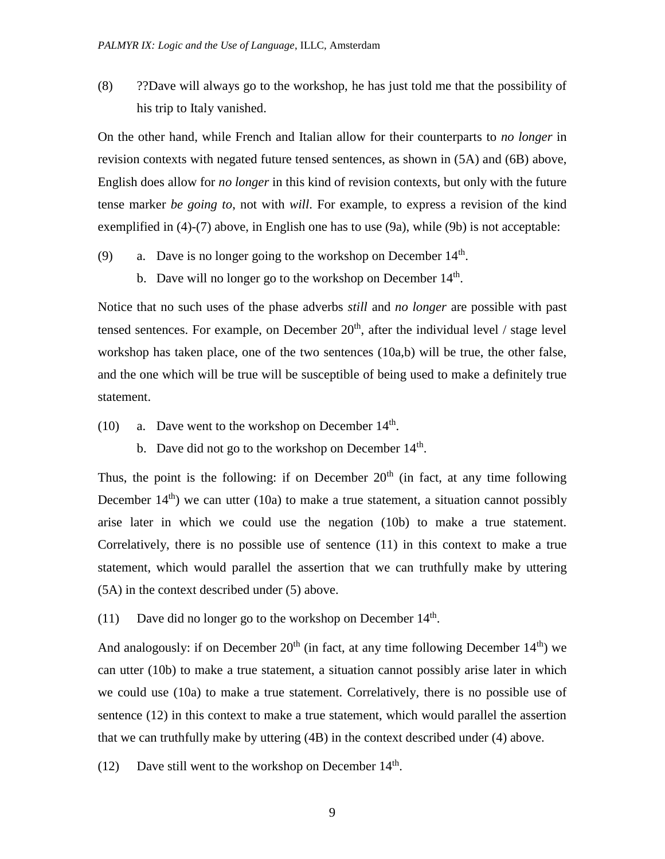(8) ??Dave will always go to the workshop, he has just told me that the possibility of his trip to Italy vanished.

On the other hand, while French and Italian allow for their counterparts to *no longer* in revision contexts with negated future tensed sentences, as shown in (5A) and (6B) above, English does allow for *no longer* in this kind of revision contexts, but only with the future tense marker *be going to*, not with *will*. For example, to express a revision of the kind exemplified in (4)-(7) above, in English one has to use (9a), while (9b) is not acceptable:

- (9) a. Dave is no longer going to the workshop on December  $14<sup>th</sup>$ .
	- b. Dave will no longer go to the workshop on December  $14<sup>th</sup>$ .

Notice that no such uses of the phase adverbs *still* and *no longer* are possible with past tensed sentences. For example, on December  $20<sup>th</sup>$ , after the individual level / stage level workshop has taken place, one of the two sentences (10a,b) will be true, the other false, and the one which will be true will be susceptible of being used to make a definitely true statement.

- $(10)$  a. Dave went to the workshop on December  $14<sup>th</sup>$ .
	- b. Dave did not go to the workshop on December  $14<sup>th</sup>$ .

Thus, the point is the following: if on December  $20<sup>th</sup>$  (in fact, at any time following December  $14<sup>th</sup>$ ) we can utter (10a) to make a true statement, a situation cannot possibly arise later in which we could use the negation (10b) to make a true statement. Correlatively, there is no possible use of sentence (11) in this context to make a true statement, which would parallel the assertion that we can truthfully make by uttering (5A) in the context described under (5) above.

(11) Dave did no longer go to the workshop on December  $14<sup>th</sup>$ .

And analogously: if on December  $20<sup>th</sup>$  (in fact, at any time following December  $14<sup>th</sup>$ ) we can utter (10b) to make a true statement, a situation cannot possibly arise later in which we could use (10a) to make a true statement. Correlatively, there is no possible use of sentence (12) in this context to make a true statement, which would parallel the assertion that we can truthfully make by uttering (4B) in the context described under (4) above.

(12) Dave still went to the workshop on December  $14<sup>th</sup>$ .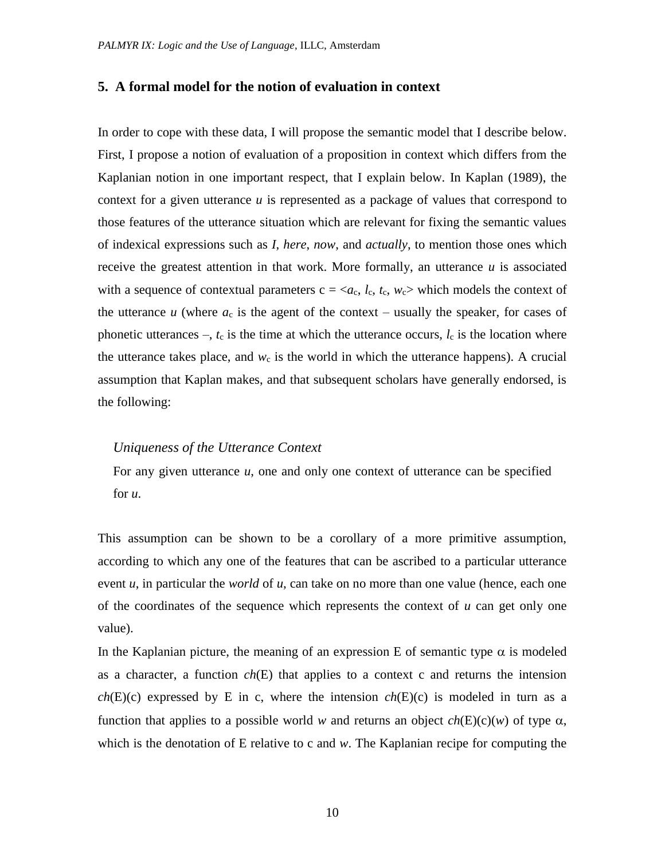# **5. A formal model for the notion of evaluation in context**

In order to cope with these data, I will propose the semantic model that I describe below. First, I propose a notion of evaluation of a proposition in context which differs from the Kaplanian notion in one important respect, that I explain below. In Kaplan (1989), the context for a given utterance *u* is represented as a package of values that correspond to those features of the utterance situation which are relevant for fixing the semantic values of indexical expressions such as *I*, *here*, *now*, and *actually*, to mention those ones which receive the greatest attention in that work. More formally, an utterance *u* is associated with a sequence of contextual parameters  $c = \langle a_c, l_c, t_c, w_c \rangle$  which models the context of the utterance  $u$  (where  $a_c$  is the agent of the context – usually the speaker, for cases of phonetic utterances –,  $t_c$  is the time at which the utterance occurs,  $l_c$  is the location where the utterance takes place, and  $w_c$  is the world in which the utterance happens). A crucial assumption that Kaplan makes, and that subsequent scholars have generally endorsed, is the following:

## *Uniqueness of the Utterance Context*

For any given utterance  $u$ , one and only one context of utterance can be specified for *u*.

This assumption can be shown to be a corollary of a more primitive assumption, according to which any one of the features that can be ascribed to a particular utterance event *u*, in particular the *world* of *u*, can take on no more than one value (hence, each one of the coordinates of the sequence which represents the context of *u* can get only one value).

In the Kaplanian picture, the meaning of an expression E of semantic type  $\alpha$  is modeled as a character, a function  $ch(E)$  that applies to a context c and returns the intension  $ch(E)(c)$  expressed by E in c, where the intension  $ch(E)(c)$  is modeled in turn as a function that applies to a possible world *w* and returns an object  $ch(E)(c)(w)$  of type  $\alpha$ , which is the denotation of E relative to c and *w*. The Kaplanian recipe for computing the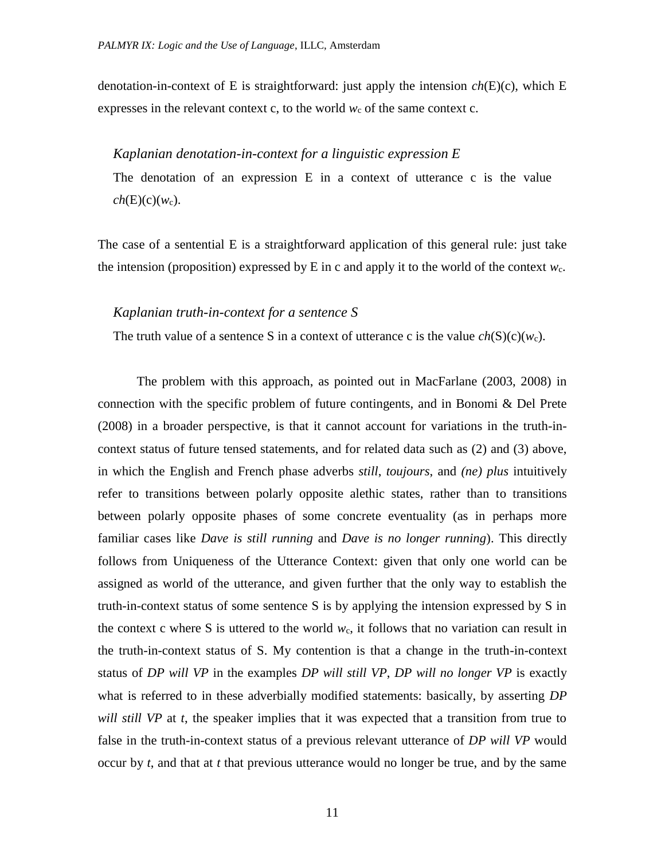denotation-in-context of E is straightforward: just apply the intension *ch*(E)(c), which E expresses in the relevant context c, to the world  $w_c$  of the same context c.

#### *Kaplanian denotation-in-context for a linguistic expression E*

The denotation of an expression E in a context of utterance c is the value  $ch(E)(c)(w_c)$ .

The case of a sentential E is a straightforward application of this general rule: just take the intension (proposition) expressed by E in c and apply it to the world of the context  $w_c$ .

### *Kaplanian truth-in-context for a sentence S*

The truth value of a sentence S in a context of utterance c is the value  $ch(S)(c)(w_c)$ .

The problem with this approach, as pointed out in MacFarlane (2003, 2008) in connection with the specific problem of future contingents, and in Bonomi & Del Prete (2008) in a broader perspective, is that it cannot account for variations in the truth-incontext status of future tensed statements, and for related data such as (2) and (3) above, in which the English and French phase adverbs *still*, *toujours*, and *(ne) plus* intuitively refer to transitions between polarly opposite alethic states, rather than to transitions between polarly opposite phases of some concrete eventuality (as in perhaps more familiar cases like *Dave is still running* and *Dave is no longer running*). This directly follows from Uniqueness of the Utterance Context: given that only one world can be assigned as world of the utterance, and given further that the only way to establish the truth-in-context status of some sentence S is by applying the intension expressed by S in the context c where S is uttered to the world  $w_c$ , it follows that no variation can result in the truth-in-context status of S. My contention is that a change in the truth-in-context status of *DP will VP* in the examples *DP will still VP*, *DP will no longer VP* is exactly what is referred to in these adverbially modified statements: basically, by asserting *DP will still VP* at *t*, the speaker implies that it was expected that a transition from true to false in the truth-in-context status of a previous relevant utterance of *DP will VP* would occur by *t*, and that at *t* that previous utterance would no longer be true, and by the same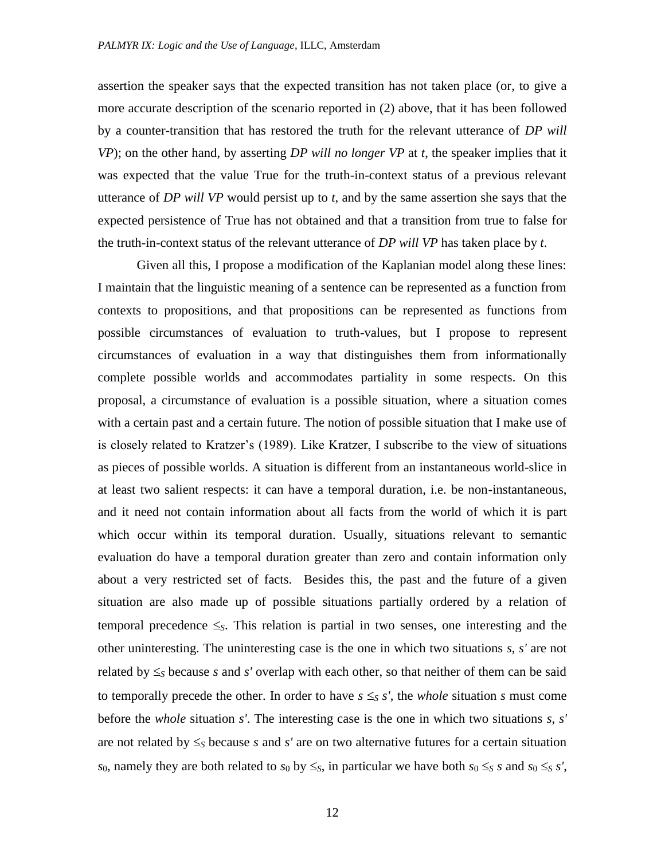assertion the speaker says that the expected transition has not taken place (or, to give a more accurate description of the scenario reported in (2) above, that it has been followed by a counter-transition that has restored the truth for the relevant utterance of *DP will VP*); on the other hand, by asserting *DP will no longer VP* at *t*, the speaker implies that it was expected that the value True for the truth-in-context status of a previous relevant utterance of *DP will VP* would persist up to *t*, and by the same assertion she says that the expected persistence of True has not obtained and that a transition from true to false for the truth-in-context status of the relevant utterance of *DP will VP* has taken place by *t*.

Given all this, I propose a modification of the Kaplanian model along these lines: I maintain that the linguistic meaning of a sentence can be represented as a function from contexts to propositions, and that propositions can be represented as functions from possible circumstances of evaluation to truth-values, but I propose to represent circumstances of evaluation in a way that distinguishes them from informationally complete possible worlds and accommodates partiality in some respects. On this proposal, a circumstance of evaluation is a possible situation, where a situation comes with a certain past and a certain future. The notion of possible situation that I make use of is closely related to Kratzer's (1989). Like Kratzer, I subscribe to the view of situations as pieces of possible worlds. A situation is different from an instantaneous world-slice in at least two salient respects: it can have a temporal duration, i.e. be non-instantaneous, and it need not contain information about all facts from the world of which it is part which occur within its temporal duration. Usually, situations relevant to semantic evaluation do have a temporal duration greater than zero and contain information only about a very restricted set of facts. Besides this, the past and the future of a given situation are also made up of possible situations partially ordered by a relation of temporal precedence  $\leq$ <sub>S</sub>. This relation is partial in two senses, one interesting and the other uninteresting. The uninteresting case is the one in which two situations *s*, *s'* are not related by  $\leq_S$  because *s* and *s'* overlap with each other, so that neither of them can be said to temporally precede the other. In order to have  $s \leq s$ , the *whole* situation *s* must come before the *whole* situation *s'*. The interesting case is the one in which two situations *s*, *s'* are not related by  $\leq_S$  because *s* and *s'* are on two alternative futures for a certain situation *s*<sub>0</sub>, namely they are both related to *s*<sup>0</sup> by  $\leq$ <sub>S</sub>, in particular we have both *s*<sup>0</sup>  $\leq$ <sub>S</sub> *s* and *s*<sup>0</sup>  $\leq$ <sub>S</sub> *s'*,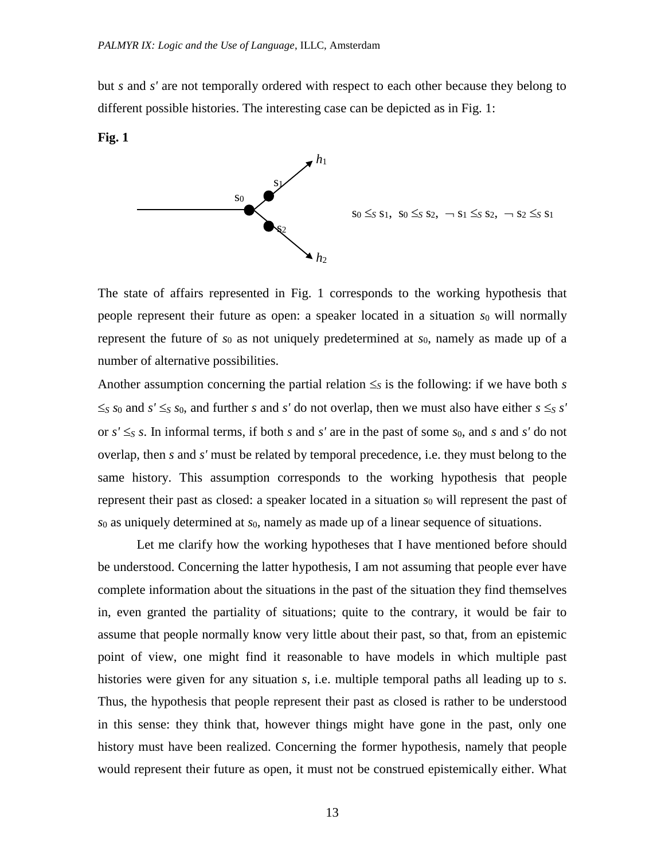but *s* and *s'* are not temporally ordered with respect to each other because they belong to different possible histories. The interesting case can be depicted as in Fig. 1:





The state of affairs represented in Fig. 1 corresponds to the working hypothesis that people represent their future as open: a speaker located in a situation *s*<sup>0</sup> will normally represent the future of *s*<sup>0</sup> as not uniquely predetermined at *s*0, namely as made up of a number of alternative possibilities.

Another assumption concerning the partial relation  $\leq_S$  is the following: if we have both *s*  $\leq$ s *s*<sub>0</sub> and *s'*  $\leq$ s *s*<sub>0</sub>, and further *s* and *s'* do not overlap, then we must also have either *s*  $\leq$ s *s'* or  $s' \leq_S s$ . In informal terms, if both *s* and *s'* are in the past of some  $s_0$ , and *s* and *s'* do not overlap, then *s* and *s'* must be related by temporal precedence, i.e. they must belong to the same history. This assumption corresponds to the working hypothesis that people represent their past as closed: a speaker located in a situation  $s<sub>0</sub>$  will represent the past of *s*<sup>0</sup> as uniquely determined at *s*0, namely as made up of a linear sequence of situations.

Let me clarify how the working hypotheses that I have mentioned before should be understood. Concerning the latter hypothesis, I am not assuming that people ever have complete information about the situations in the past of the situation they find themselves in, even granted the partiality of situations; quite to the contrary, it would be fair to assume that people normally know very little about their past, so that, from an epistemic point of view, one might find it reasonable to have models in which multiple past histories were given for any situation *s*, i.e. multiple temporal paths all leading up to *s*. Thus, the hypothesis that people represent their past as closed is rather to be understood in this sense: they think that, however things might have gone in the past, only one history must have been realized. Concerning the former hypothesis, namely that people would represent their future as open, it must not be construed epistemically either. What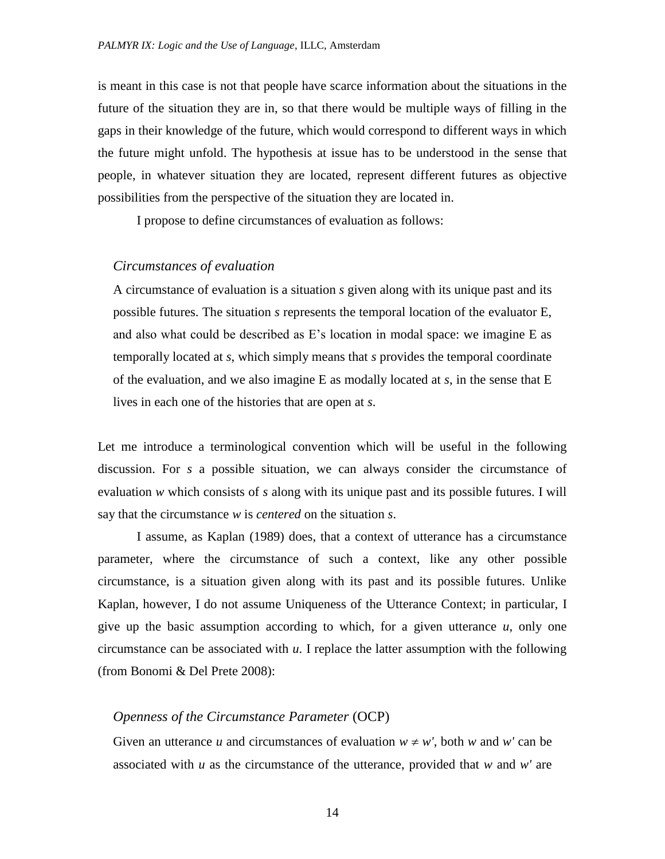is meant in this case is not that people have scarce information about the situations in the future of the situation they are in, so that there would be multiple ways of filling in the gaps in their knowledge of the future, which would correspond to different ways in which the future might unfold. The hypothesis at issue has to be understood in the sense that people, in whatever situation they are located, represent different futures as objective possibilities from the perspective of the situation they are located in.

I propose to define circumstances of evaluation as follows:

#### *Circumstances of evaluation*

A circumstance of evaluation is a situation *s* given along with its unique past and its possible futures. The situation *s* represents the temporal location of the evaluator E, and also what could be described as E's location in modal space: we imagine E as temporally located at *s*, which simply means that *s* provides the temporal coordinate of the evaluation, and we also imagine E as modally located at *s*, in the sense that E lives in each one of the histories that are open at *s*.

Let me introduce a terminological convention which will be useful in the following discussion. For *s* a possible situation, we can always consider the circumstance of evaluation *w* which consists of *s* along with its unique past and its possible futures. I will say that the circumstance *w* is *centered* on the situation *s*.

I assume, as Kaplan (1989) does, that a context of utterance has a circumstance parameter, where the circumstance of such a context, like any other possible circumstance, is a situation given along with its past and its possible futures. Unlike Kaplan, however, I do not assume Uniqueness of the Utterance Context; in particular, I give up the basic assumption according to which, for a given utterance  $u$ , only one circumstance can be associated with *u*. I replace the latter assumption with the following (from Bonomi & Del Prete 2008):

## *Openness of the Circumstance Parameter* (OCP)

Given an utterance *u* and circumstances of evaluation  $w \neq w'$ , both *w* and *w'* can be associated with *u* as the circumstance of the utterance, provided that *w* and *w'* are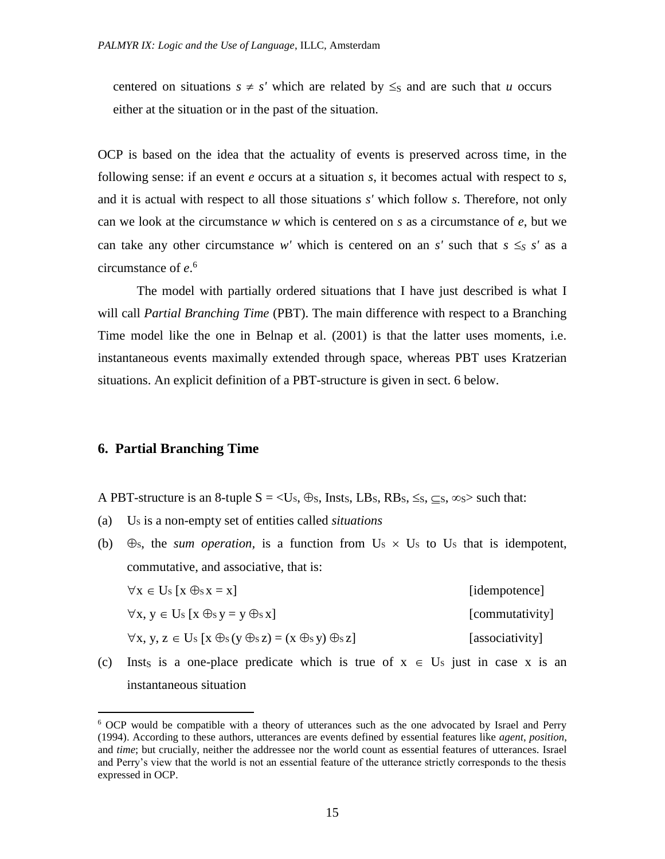centered on situations  $s \neq s'$  which are related by  $\leq_s$  and are such that *u* occurs either at the situation or in the past of the situation.

OCP is based on the idea that the actuality of events is preserved across time, in the following sense: if an event *e* occurs at a situation *s*, it becomes actual with respect to *s*, and it is actual with respect to all those situations *s'* which follow *s*. Therefore, not only can we look at the circumstance *w* which is centered on *s* as a circumstance of *e*, but we can take any other circumstance *w'* which is centered on an *s'* such that  $s \leq s s'$  as a circumstance of *e*. 6

The model with partially ordered situations that I have just described is what I will call *Partial Branching Time* (PBT). The main difference with respect to a Branching Time model like the one in Belnap et al. (2001) is that the latter uses moments, i.e. instantaneous events maximally extended through space, whereas PBT uses Kratzerian situations. An explicit definition of a PBT-structure is given in sect. 6 below.

## **6. Partial Branching Time**

 $\overline{a}$ 

- A PBT-structure is an 8-tuple  $S = \langle U_s, \oplus_S, \text{Inst}_S, \text{LB}_S, \text{RB}_S, \leq_S, \leq_S, \infty \rangle$  such that:
- (a) U<sup>S</sup> is a non-empty set of entities called *situations*
- (b)  $\oplus$ s, the *sum operation*, is a function from U<sub>s</sub>  $\times$  U<sub>s</sub> to U<sub>s</sub> that is idempotent, commutative, and associative, that is:

| $\forall x \in U_s$ [x $\oplus_s x = x$ ]                                           | [idempotence]   |
|-------------------------------------------------------------------------------------|-----------------|
| $\forall x, y \in U$ s [ $x \oplus sy = y \oplus sx$ ]                              | [commutativity] |
| $\forall x, y, z \in U$ s $[x \oplus s (y \oplus s z) = (x \oplus s y) \oplus s z]$ | [associativity] |

(c) Inst<sub>S</sub> is a one-place predicate which is true of  $x \in U_s$  just in case x is an instantaneous situation

<sup>6</sup> OCP would be compatible with a theory of utterances such as the one advocated by Israel and Perry (1994). According to these authors, utterances are events defined by essential features like *agent*, *position*, and *time*; but crucially, neither the addressee nor the world count as essential features of utterances. Israel and Perry's view that the world is not an essential feature of the utterance strictly corresponds to the thesis expressed in OCP.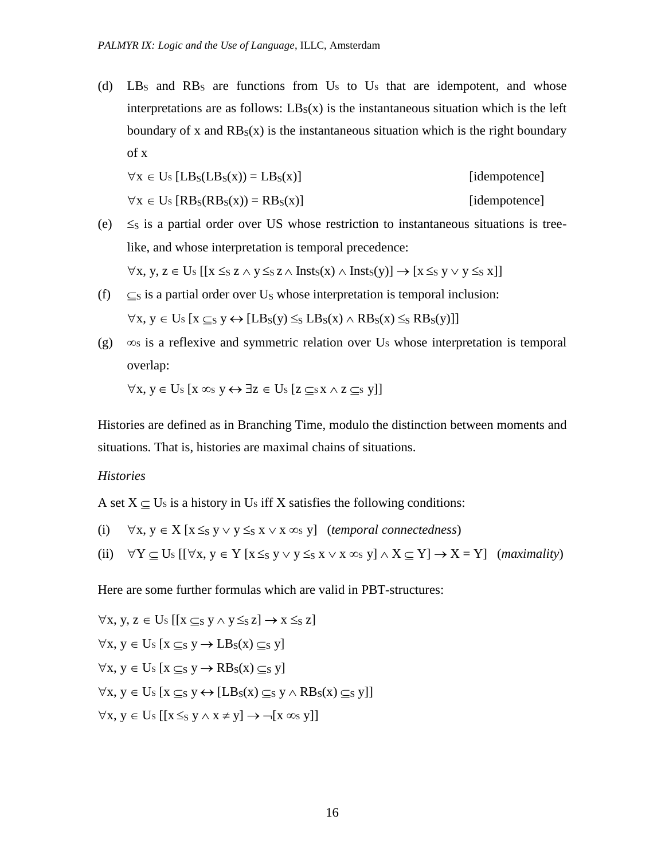(d)  $LB<sub>S</sub>$  and  $RB<sub>S</sub>$  are functions from U<sub>s</sub> to U<sub>s</sub> that are idempotent, and whose interpretations are as follows:  $LB_S(x)$  is the instantaneous situation which is the left boundary of x and  $RB_S(x)$  is the instantaneous situation which is the right boundary of x

$$
\forall x \in Us [LBS(LBS(x)) = LBS(x)]
$$
 [idempotence]

$$
\forall x \in U_s \left[ RB_s(RB_s(x)) = RB_s(x) \right] \qquad [idempotence]
$$

(e)  $\leq$  is a partial order over US whose restriction to instantaneous situations is treelike, and whose interpretation is temporal precedence:

 $\forall x, y, z \in U$ s  $[[x \leq_S z \land y \leq_S z \land Inst_S(x) \land Inst_S(y)] \rightarrow [x \leq_S y \lor y \leq_S x]]$ 

- (f)  $\subset$ s is a partial order over U<sub>S</sub> whose interpretation is temporal inclusion:  $\forall x, y \in U_s$  [ $x \subseteq_S y \leftrightarrow [LB_S(y) \leq_S LB_S(x) \land RB_S(x) \leq_S RB_S(y)$ ]]
- (g)  $\infty$  is a reflexive and symmetric relation over Us whose interpretation is temporal overlap:

 $\forall x, y \in Us \ [x \infty s \ y \leftrightarrow \exists z \in Us \ [z \subset s \ x \land z \subset s \ y]]$ 

Histories are defined as in Branching Time, modulo the distinction between moments and situations. That is, histories are maximal chains of situations.

### *Histories*

A set  $X \subset U_s$  is a history in Us iff X satisfies the following conditions:

- (i)  $\forall x, y \in X [x \leq_S y \lor y \leq_S x \lor x \infty s]$  (*temporal connectedness*)
- (ii)  $\forall Y \subseteq U$ s  $[[\forall x, y \in Y [x \leq_S y \lor y \leq_S x \lor x \infty s y] \land X \subseteq Y] \rightarrow X = Y]$  (*maximality*)

Here are some further formulas which are valid in PBT-structures:

$$
\forall x, y, z \in Us [[x \subseteq s y \land y \leq s z] \rightarrow x \leq s z]
$$
  

$$
\forall x, y \in Us [x \subseteq s y \rightarrow LBs(x) \subseteq s y]
$$
  

$$
\forall x, y \in Us [x \subseteq s y \rightarrow RBs(x) \subseteq s y]
$$
  

$$
\forall x, y \in Us [x \subseteq s y \leftrightarrow [LBs(x) \subseteq s y \land RBs(x) \subseteq s y]]
$$
  

$$
\forall x, y \in Us [[x \leq s y \land x \neq y] \rightarrow \neg [x \infty s y]]
$$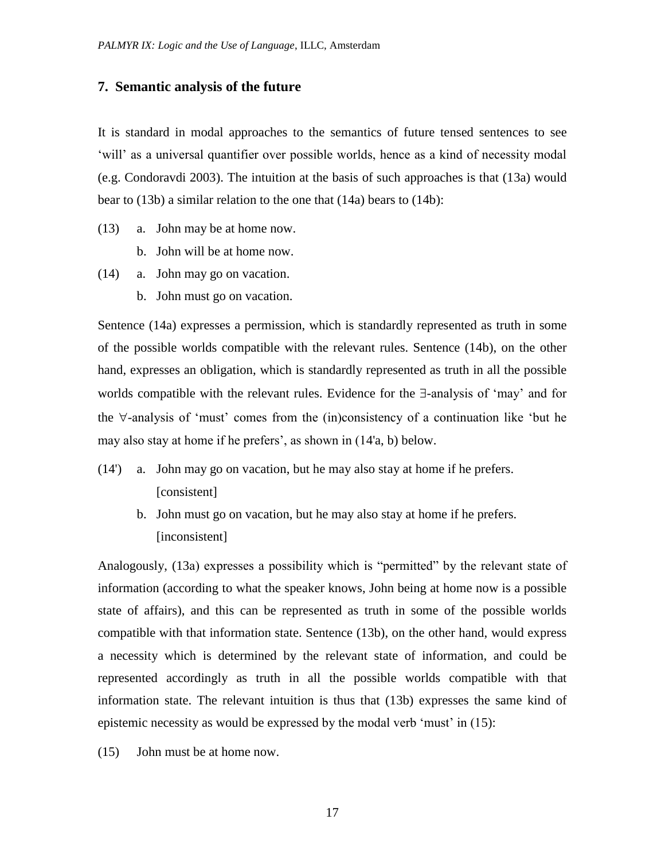# **7. Semantic analysis of the future**

It is standard in modal approaches to the semantics of future tensed sentences to see 'will' as a universal quantifier over possible worlds, hence as a kind of necessity modal (e.g. Condoravdi 2003). The intuition at the basis of such approaches is that (13a) would bear to (13b) a similar relation to the one that (14a) bears to (14b):

- (13) a. John may be at home now.
	- b. John will be at home now.
- (14) a. John may go on vacation.
	- b. John must go on vacation.

Sentence (14a) expresses a permission, which is standardly represented as truth in some of the possible worlds compatible with the relevant rules. Sentence (14b), on the other hand, expresses an obligation, which is standardly represented as truth in all the possible worlds compatible with the relevant rules. Evidence for the  $\exists$ -analysis of 'may' and for the  $\forall$ -analysis of 'must' comes from the (in)consistency of a continuation like 'but he may also stay at home if he prefers', as shown in (14'a, b) below.

- (14') a. John may go on vacation, but he may also stay at home if he prefers. [consistent]
	- b. John must go on vacation, but he may also stay at home if he prefers. [inconsistent]

Analogously, (13a) expresses a possibility which is "permitted" by the relevant state of information (according to what the speaker knows, John being at home now is a possible state of affairs), and this can be represented as truth in some of the possible worlds compatible with that information state. Sentence (13b), on the other hand, would express a necessity which is determined by the relevant state of information, and could be represented accordingly as truth in all the possible worlds compatible with that information state. The relevant intuition is thus that (13b) expresses the same kind of epistemic necessity as would be expressed by the modal verb 'must' in (15):

(15) John must be at home now.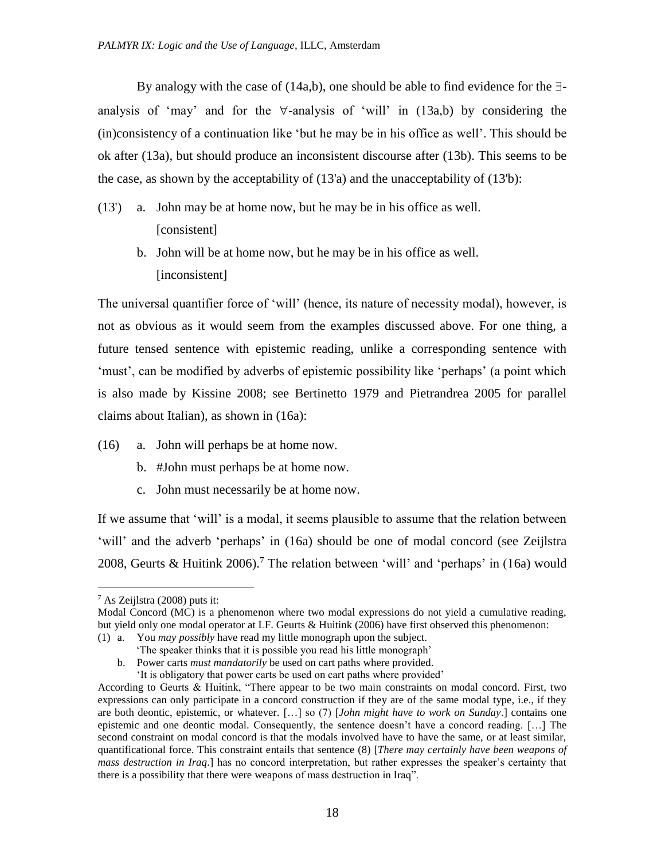By analogy with the case of (14a,b), one should be able to find evidence for the  $\exists$ analysis of 'may' and for the  $\forall$ -analysis of 'will' in (13a,b) by considering the (in)consistency of a continuation like 'but he may be in his office as well'. This should be ok after (13a), but should produce an inconsistent discourse after (13b). This seems to be the case, as shown by the acceptability of (13'a) and the unacceptability of (13'b):

- (13') a. John may be at home now, but he may be in his office as well. [consistent]
	- b. John will be at home now, but he may be in his office as well. [inconsistent]

The universal quantifier force of 'will' (hence, its nature of necessity modal), however, is not as obvious as it would seem from the examples discussed above. For one thing, a future tensed sentence with epistemic reading, unlike a corresponding sentence with 'must', can be modified by adverbs of epistemic possibility like 'perhaps' (a point which is also made by Kissine 2008; see Bertinetto 1979 and Pietrandrea 2005 for parallel claims about Italian), as shown in (16a):

- (16) a. John will perhaps be at home now.
	- b. #John must perhaps be at home now.
	- c. John must necessarily be at home now.

If we assume that 'will' is a modal, it seems plausible to assume that the relation between 'will' and the adverb 'perhaps' in (16a) should be one of modal concord (see Zeijlstra 2008, Geurts & Huitink 2006).<sup>7</sup> The relation between 'will' and 'perhaps' in (16a) would

 $\overline{a}$ 

'It is obligatory that power carts be used on cart paths where provided'

 $7$  As Zeijlstra (2008) puts it:

Modal Concord (MC) is a phenomenon where two modal expressions do not yield a cumulative reading, but yield only one modal operator at LF. Geurts & Huitink (2006) have first observed this phenomenon:

<sup>(1)</sup> a. You *may possibly* have read my little monograph upon the subject.

<sup>&#</sup>x27;The speaker thinks that it is possible you read his little monograph' b. Power carts *must mandatorily* be used on cart paths where provided.

According to Geurts & Huitink, "There appear to be two main constraints on modal concord. First, two expressions can only participate in a concord construction if they are of the same modal type, i.e., if they are both deontic, epistemic, or whatever. […] so (7) [*John might have to work on Sunday*.] contains one epistemic and one deontic modal. Consequently, the sentence doesn't have a concord reading. […] The second constraint on modal concord is that the modals involved have to have the same, or at least similar, quantificational force. This constraint entails that sentence (8) [*There may certainly have been weapons of mass destruction in Iraq*.] has no concord interpretation, but rather expresses the speaker's certainty that there is a possibility that there were weapons of mass destruction in Iraq".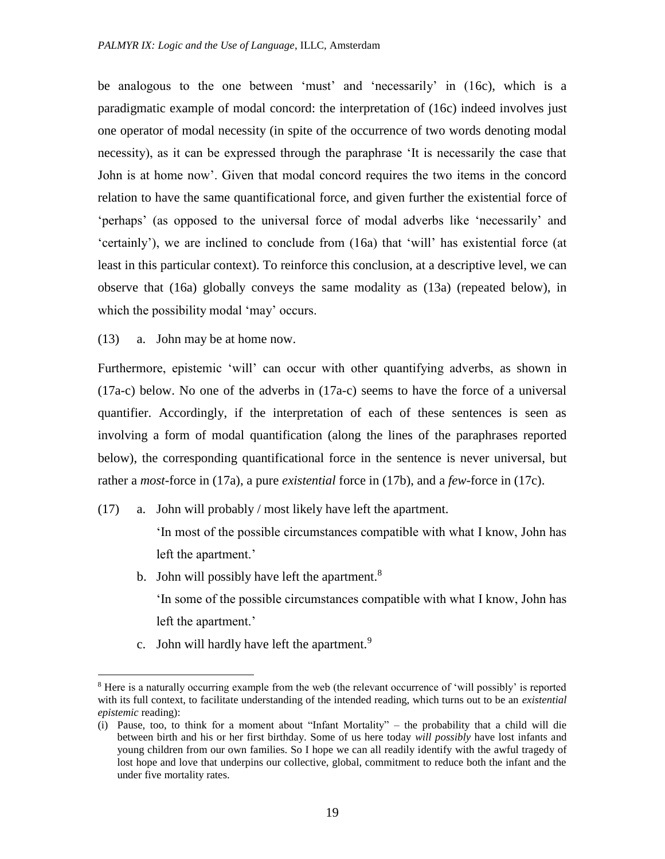be analogous to the one between 'must' and 'necessarily' in (16c), which is a paradigmatic example of modal concord: the interpretation of (16c) indeed involves just one operator of modal necessity (in spite of the occurrence of two words denoting modal necessity), as it can be expressed through the paraphrase 'It is necessarily the case that John is at home now'. Given that modal concord requires the two items in the concord relation to have the same quantificational force, and given further the existential force of 'perhaps' (as opposed to the universal force of modal adverbs like 'necessarily' and 'certainly'), we are inclined to conclude from (16a) that 'will' has existential force (at least in this particular context). To reinforce this conclusion, at a descriptive level, we can observe that (16a) globally conveys the same modality as (13a) (repeated below), in which the possibility modal 'may' occurs.

(13) a. John may be at home now.

Furthermore, epistemic 'will' can occur with other quantifying adverbs, as shown in (17a-c) below. No one of the adverbs in (17a-c) seems to have the force of a universal quantifier. Accordingly, if the interpretation of each of these sentences is seen as involving a form of modal quantification (along the lines of the paraphrases reported below), the corresponding quantificational force in the sentence is never universal, but rather a *most*-force in (17a), a pure *existential* force in (17b), and a *few*-force in (17c).

(17) a. John will probably / most likely have left the apartment.

'In most of the possible circumstances compatible with what I know, John has left the apartment.'

b. John will possibly have left the apartment.<sup>8</sup>

'In some of the possible circumstances compatible with what I know, John has left the apartment.'

c. John will hardly have left the apartment.<sup>9</sup>

 $\overline{a}$ 

<sup>&</sup>lt;sup>8</sup> Here is a naturally occurring example from the web (the relevant occurrence of 'will possibly' is reported with its full context, to facilitate understanding of the intended reading, which turns out to be an *existential epistemic* reading):

<sup>(</sup>i) Pause, too, to think for a moment about "Infant Mortality" – the probability that a child will die between birth and his or her first birthday. Some of us here today *will possibly* have lost infants and young children from our own families. So I hope we can all readily identify with the awful tragedy of lost hope and love that underpins our collective, global, commitment to reduce both the infant and the under five mortality rates.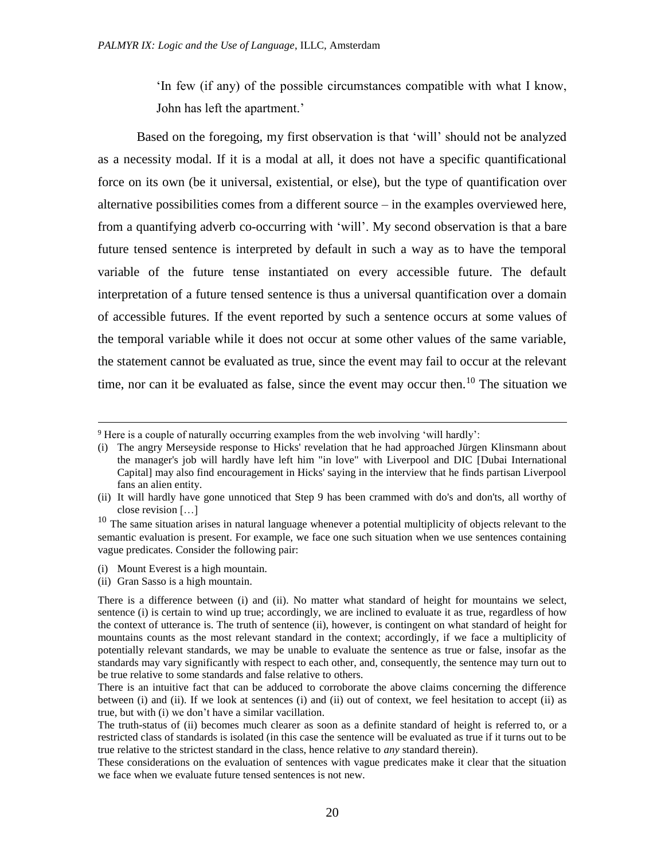'In few (if any) of the possible circumstances compatible with what I know, John has left the apartment.'

Based on the foregoing, my first observation is that 'will' should not be analyzed as a necessity modal. If it is a modal at all, it does not have a specific quantificational force on its own (be it universal, existential, or else), but the type of quantification over alternative possibilities comes from a different source – in the examples overviewed here, from a quantifying adverb co-occurring with 'will'. My second observation is that a bare future tensed sentence is interpreted by default in such a way as to have the temporal variable of the future tense instantiated on every accessible future. The default interpretation of a future tensed sentence is thus a universal quantification over a domain of accessible futures. If the event reported by such a sentence occurs at some values of the temporal variable while it does not occur at some other values of the same variable, the statement cannot be evaluated as true, since the event may fail to occur at the relevant time, nor can it be evaluated as false, since the event may occur then.<sup>10</sup> The situation we

- (i) Mount Everest is a high mountain.
- (ii) Gran Sasso is a high mountain.

 $\overline{a}$ 

These considerations on the evaluation of sentences with vague predicates make it clear that the situation we face when we evaluate future tensed sentences is not new.

<sup>9</sup> Here is a couple of naturally occurring examples from the web involving 'will hardly':

<sup>(</sup>i) The angry Merseyside response to Hicks' revelation that he had approached Jürgen Klinsmann about the manager's job will hardly have left him "in love" with Liverpool and DIC [Dubai International Capital] may also find encouragement in Hicks' saying in the interview that he finds partisan Liverpool fans an alien entity.

<sup>(</sup>ii) It will hardly have gone unnoticed that Step 9 has been crammed with do's and don'ts, all worthy of close revision […]

<sup>&</sup>lt;sup>10</sup> The same situation arises in natural language whenever a potential multiplicity of objects relevant to the semantic evaluation is present. For example, we face one such situation when we use sentences containing vague predicates. Consider the following pair:

There is a difference between (i) and (ii). No matter what standard of height for mountains we select, sentence (i) is certain to wind up true; accordingly, we are inclined to evaluate it as true, regardless of how the context of utterance is. The truth of sentence (ii), however, is contingent on what standard of height for mountains counts as the most relevant standard in the context; accordingly, if we face a multiplicity of potentially relevant standards, we may be unable to evaluate the sentence as true or false, insofar as the standards may vary significantly with respect to each other, and, consequently, the sentence may turn out to be true relative to some standards and false relative to others.

There is an intuitive fact that can be adduced to corroborate the above claims concerning the difference between (i) and (ii). If we look at sentences (i) and (ii) out of context, we feel hesitation to accept (ii) as true, but with (i) we don't have a similar vacillation.

The truth-status of (ii) becomes much clearer as soon as a definite standard of height is referred to, or a restricted class of standards is isolated (in this case the sentence will be evaluated as true if it turns out to be true relative to the strictest standard in the class, hence relative to *any* standard therein).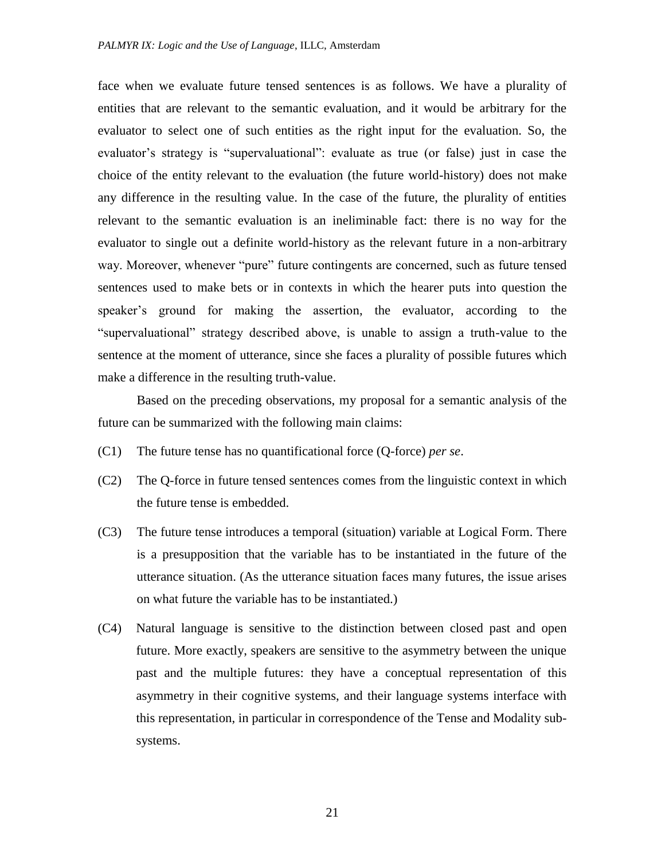face when we evaluate future tensed sentences is as follows. We have a plurality of entities that are relevant to the semantic evaluation, and it would be arbitrary for the evaluator to select one of such entities as the right input for the evaluation. So, the evaluator's strategy is "supervaluational": evaluate as true (or false) just in case the choice of the entity relevant to the evaluation (the future world-history) does not make any difference in the resulting value. In the case of the future, the plurality of entities relevant to the semantic evaluation is an ineliminable fact: there is no way for the evaluator to single out a definite world-history as the relevant future in a non-arbitrary way. Moreover, whenever "pure" future contingents are concerned, such as future tensed sentences used to make bets or in contexts in which the hearer puts into question the speaker's ground for making the assertion, the evaluator, according to the "supervaluational" strategy described above, is unable to assign a truth-value to the sentence at the moment of utterance, since she faces a plurality of possible futures which make a difference in the resulting truth-value.

Based on the preceding observations, my proposal for a semantic analysis of the future can be summarized with the following main claims:

- (C1) The future tense has no quantificational force (Q-force) *per se*.
- (C2) The Q-force in future tensed sentences comes from the linguistic context in which the future tense is embedded.
- (C3) The future tense introduces a temporal (situation) variable at Logical Form. There is a presupposition that the variable has to be instantiated in the future of the utterance situation. (As the utterance situation faces many futures, the issue arises on what future the variable has to be instantiated.)
- (C4) Natural language is sensitive to the distinction between closed past and open future. More exactly, speakers are sensitive to the asymmetry between the unique past and the multiple futures: they have a conceptual representation of this asymmetry in their cognitive systems, and their language systems interface with this representation, in particular in correspondence of the Tense and Modality subsystems.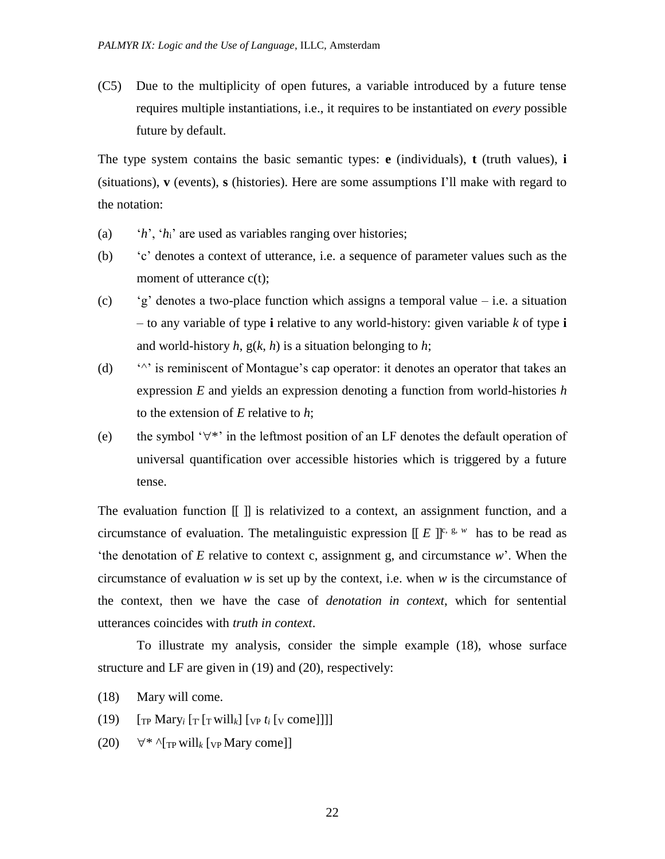(C5) Due to the multiplicity of open futures, a variable introduced by a future tense requires multiple instantiations, i.e., it requires to be instantiated on *every* possible future by default.

The type system contains the basic semantic types: **e** (individuals), **t** (truth values), **i**  (situations), **v** (events), **s** (histories). Here are some assumptions I'll make with regard to the notation:

- (a) '*h*', '*h*i' are used as variables ranging over histories;
- (b) 'c' denotes a context of utterance, i.e. a sequence of parameter values such as the moment of utterance  $c(t)$ ;
- (c) 'g' denotes a two-place function which assigns a temporal value i.e. a situation – to any variable of type **i** relative to any world-history: given variable *k* of type **i**  and world-history *h*, g(*k*, *h*) is a situation belonging to *h*;
- (d)  $\gamma$  is reminiscent of Montague's cap operator: it denotes an operator that takes an expression *E* and yields an expression denoting a function from world-histories *h* to the extension of *E* relative to *h*;
- (e) the symbol ' $\forall^*$ ' in the leftmost position of an LF denotes the default operation of universal quantification over accessible histories which is triggered by a future tense.

The evaluation function [[ ]] is relativized to a context, an assignment function, and a circumstance of evaluation. The metalinguistic expression  $[[E]]^{c, g, w}$  has to be read as 'the denotation of *E* relative to context c, assignment g, and circumstance *w*'. When the circumstance of evaluation *w* is set up by the context, i.e. when *w* is the circumstance of the context, then we have the case of *denotation in context*, which for sentential utterances coincides with *truth in context*.

To illustrate my analysis, consider the simple example (18), whose surface structure and LF are given in (19) and (20), respectively:

- (18) Mary will come.
- (19)  $[\text{TP Mary}_i [\text{T Will}_k] [\text{VP } t_i [\text{v come}]]]]$
- (20)  $\forall^* \cap_{TP} \text{will}_k$  [vp Mary come]]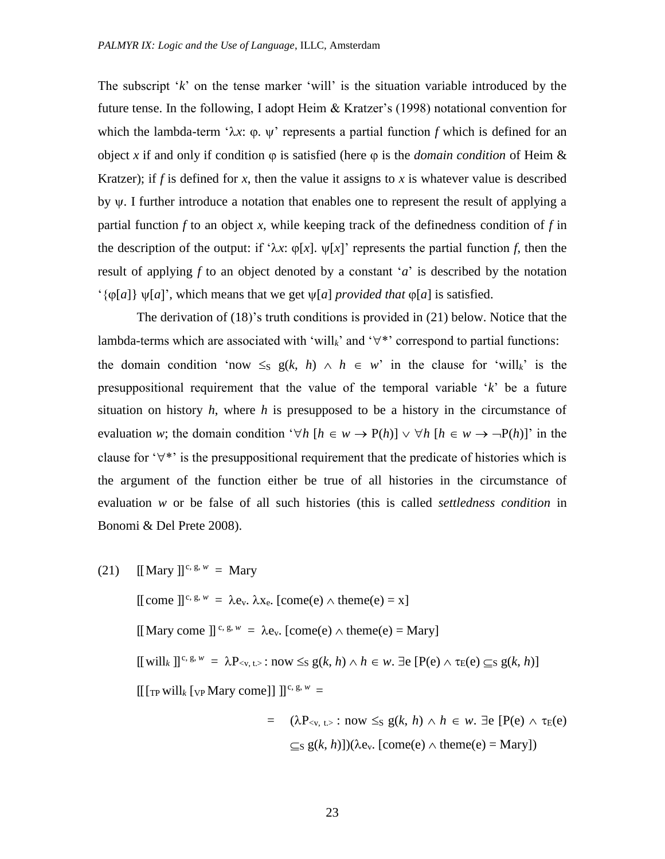The subscript '*k*' on the tense marker 'will' is the situation variable introduced by the future tense. In the following, I adopt Heim & Kratzer's (1998) notational convention for which the lambda-term ' $\lambda x$ :  $\varphi$ .  $\psi$ ' represents a partial function f which is defined for an object x if and only if condition  $\varphi$  is satisfied (here  $\varphi$  is the *domain condition* of Heim & Kratzer); if  $f$  is defined for  $x$ , then the value it assigns to  $x$  is whatever value is described by  $\psi$ . I further introduce a notation that enables one to represent the result of applying a partial function *f* to an object *x*, while keeping track of the definedness condition of *f* in the description of the output: if ' $\lambda x$ :  $\varphi[x]$ .  $\psi[x]$ ' represents the partial function *f*, then the result of applying *f* to an object denoted by a constant '*a*' is described by the notation ' ${\phi[a]}$   $\psi[a]$ ', which means that we get  $\psi[a]$  *provided that*  $\phi[a]$  is satisfied.

The derivation of (18)'s truth conditions is provided in (21) below. Notice that the lambda-terms which are associated with 'will<sub>k</sub>' and ' $\forall$ <sup>\*</sup>' correspond to partial functions: the domain condition 'now  $\leq_S g(k, h) \land h \in w$ ' in the clause for 'will<sub>k</sub>' is the presuppositional requirement that the value of the temporal variable '*k*' be a future situation on history *h*, where *h* is presupposed to be a history in the circumstance of evaluation *w*; the domain condition ' $\forall h$  [ $h \in w \rightarrow P(h)$ ]  $\lor \forall h$  [ $h \in w \rightarrow \neg P(h)$ ]' in the clause for ' $\forall^*$ ' is the presuppositional requirement that the predicate of histories which is the argument of the function either be true of all histories in the circumstance of evaluation *w* or be false of all such histories (this is called *settledness condition* in Bonomi & Del Prete 2008).

 $(21)$  [[Mary ]]<sup>c, g, w</sup> = Mary

 $[[\text{come }]]^{c, g, w} = \lambda e_v. \lambda x_e. [\text{come}(e) \wedge \text{theme}(e) = x]$ [[Mary come ]] <sup>c, g, w</sup> =  $\lambda$ e<sub>v</sub>. [come(e)  $\wedge$  theme(e) = Mary]  $[[\text{ will}_k]]^{c, g, w} = \lambda P_{\leq v, t>}$ : now  $\leq_S g(k, h) \wedge h \in w$ .  $\exists e [P(e) \wedge \tau_E(e) \subseteq_S g(k, h)]$  $[[[T_{\rm P} \text{ will}]_k]$  [vp Mary come]]  $]^{\rm c, g, w} =$ 

$$
= (\lambda P_{\leq v, t>} : now \leq_S g(k, h) \land h \in w. \exists e [P(e) \land \tau_E(e)]
$$
  

$$
\subseteq_S g(k, h)])(\lambda e_v. [come(e) \land theme(e) = Mary])
$$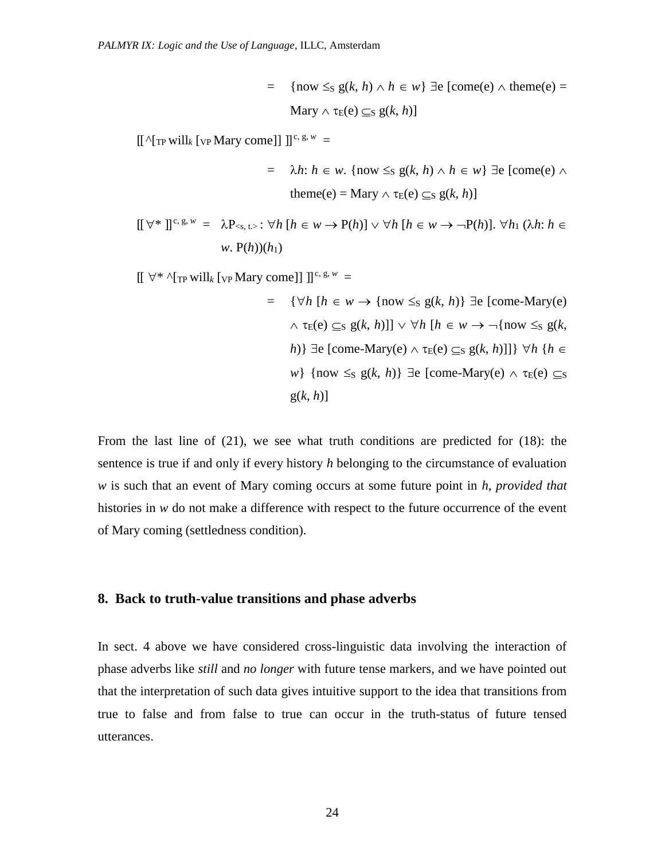= {now  $\leq_S g(k, h) \wedge h \in w$ }  $\exists e$  [come(e)  $\wedge$  theme(e) =  $\text{Mary} \wedge \tau_E(e) \subset_S g(k, h)$ ]

 $[[^{\wedge}[\text{TP will}]_k]$  [vp **Mary come**]]  $]^{\text{c}, g, w} =$ 

 $=$   $\lambda h$ :  $h \in w$ . {now  $\leq_S g(k, h) \wedge h \in w$ }  $\exists e$  [come(e)  $\wedge$ theme(e) = Mary  $\land \tau_E(e) \subset_S g(k, h)$ ]

 $\label{eq:2.1} [[\,\forall^{\,*}\,]]^{c,\,g,\,w} \; = \; \; \lambda P_{\leq s,\,t>} \colon \forall h \; [h \in w \to P(h)] \vee \forall h \; [h \in w \to \neg P(h)].\; \forall h_1 \; (\lambda h; \, h \in \neg P(h)) \in \neg P(h)$ *w*.  $P(h)(h_1)$ 

 $[[ \forall^* \cap [\text{TP will}_k [ \text{VP Mary come}]] ]^{\text{c}, \text{g}, w} =$ 

 $= \{ \forall h \ [h \in w \rightarrow \{now \leq s g(k, h)\} \exists e \ [come-Mary(e)] \}$  $\wedge$   $\tau_E(e) \subseteq_S g(k, h)] \vee \forall h$   $[h \in w \rightarrow \neg \{now \leq_S g(k, h)\}]$  $h$ } e [come-Mary(e)  $\wedge \tau_E(e) \subseteq_S g(k, h)$ ]]}  $\forall h \{h \in E\}$ *w*} {now  $\leq_S g(k, h)$ }  $\exists e$  [come-Mary(e)  $\wedge \tau_E(e) \subseteq_S$  $g(k, h)$ ]

From the last line of (21), we see what truth conditions are predicted for (18): the sentence is true if and only if every history *h* belonging to the circumstance of evaluation *w* is such that an event of Mary coming occurs at some future point in *h*, *provided that*  histories in *w* do not make a difference with respect to the future occurrence of the event of Mary coming (settledness condition).

# **8. Back to truth-value transitions and phase adverbs**

In sect. 4 above we have considered cross-linguistic data involving the interaction of phase adverbs like *still* and *no longer* with future tense markers, and we have pointed out that the interpretation of such data gives intuitive support to the idea that transitions from true to false and from false to true can occur in the truth-status of future tensed utterances.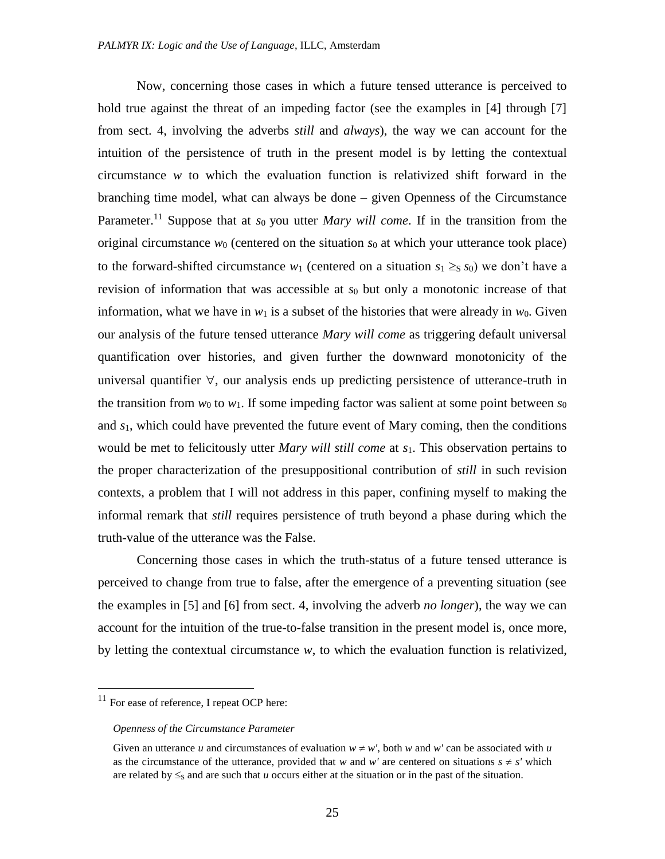Now, concerning those cases in which a future tensed utterance is perceived to hold true against the threat of an impeding factor (see the examples in [4] through [7] from sect. 4, involving the adverbs *still* and *always*), the way we can account for the intuition of the persistence of truth in the present model is by letting the contextual circumstance *w* to which the evaluation function is relativized shift forward in the branching time model, what can always be done – given Openness of the Circumstance Parameter.<sup>11</sup> Suppose that at *s*<sub>0</sub> you utter *Mary will come*. If in the transition from the original circumstance  $w_0$  (centered on the situation  $s_0$  at which your utterance took place) to the forward-shifted circumstance  $w_1$  (centered on a situation  $s_1 \geq s_0$ ) we don't have a revision of information that was accessible at  $s_0$  but only a monotonic increase of that information, what we have in  $w_1$  is a subset of the histories that were already in  $w_0$ . Given our analysis of the future tensed utterance *Mary will come* as triggering default universal quantification over histories, and given further the downward monotonicity of the universal quantifier  $\forall$ , our analysis ends up predicting persistence of utterance-truth in the transition from  $w_0$  to  $w_1$ . If some impeding factor was salient at some point between  $s_0$ and *s*1, which could have prevented the future event of Mary coming, then the conditions would be met to felicitously utter *Mary will still come* at *s*1. This observation pertains to the proper characterization of the presuppositional contribution of *still* in such revision contexts, a problem that I will not address in this paper, confining myself to making the informal remark that *still* requires persistence of truth beyond a phase during which the truth-value of the utterance was the False.

Concerning those cases in which the truth-status of a future tensed utterance is perceived to change from true to false, after the emergence of a preventing situation (see the examples in [5] and [6] from sect. 4, involving the adverb *no longer*), the way we can account for the intuition of the true-to-false transition in the present model is, once more, by letting the contextual circumstance *w*, to which the evaluation function is relativized,

 $\overline{a}$ 

<sup>&</sup>lt;sup>11</sup> For ease of reference, I repeat OCP here:

*Openness of the Circumstance Parameter*

Given an utterance *u* and circumstances of evaluation  $w \neq w'$ , both *w* and *w'* can be associated with *u* as the circumstance of the utterance, provided that *w* and *w'* are centered on situations  $s \neq s'$  which are related by  $\leq_S$  and are such that *u* occurs either at the situation or in the past of the situation.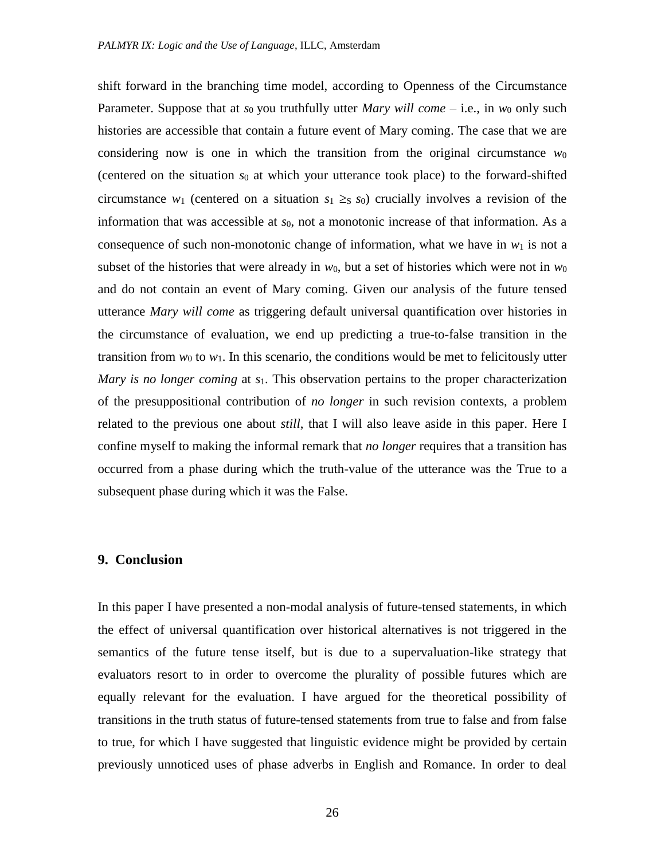shift forward in the branching time model, according to Openness of the Circumstance Parameter. Suppose that at  $s_0$  you truthfully utter *Mary will come* – i.e., in  $w_0$  only such histories are accessible that contain a future event of Mary coming. The case that we are considering now is one in which the transition from the original circumstance  $w_0$ (centered on the situation *s*<sup>0</sup> at which your utterance took place) to the forward-shifted circumstance  $w_1$  (centered on a situation  $s_1 \geq s_0$ ) crucially involves a revision of the information that was accessible at *s*0, not a monotonic increase of that information. As a consequence of such non-monotonic change of information, what we have in  $w_1$  is not a subset of the histories that were already in  $w_0$ , but a set of histories which were not in  $w_0$ and do not contain an event of Mary coming. Given our analysis of the future tensed utterance *Mary will come* as triggering default universal quantification over histories in the circumstance of evaluation, we end up predicting a true-to-false transition in the transition from  $w_0$  to  $w_1$ . In this scenario, the conditions would be met to felicitously utter *Mary is no longer coming* at *s*1. This observation pertains to the proper characterization of the presuppositional contribution of *no longer* in such revision contexts, a problem related to the previous one about *still*, that I will also leave aside in this paper. Here I confine myself to making the informal remark that *no longer* requires that a transition has occurred from a phase during which the truth-value of the utterance was the True to a subsequent phase during which it was the False.

# **9. Conclusion**

In this paper I have presented a non-modal analysis of future-tensed statements, in which the effect of universal quantification over historical alternatives is not triggered in the semantics of the future tense itself, but is due to a supervaluation-like strategy that evaluators resort to in order to overcome the plurality of possible futures which are equally relevant for the evaluation. I have argued for the theoretical possibility of transitions in the truth status of future-tensed statements from true to false and from false to true, for which I have suggested that linguistic evidence might be provided by certain previously unnoticed uses of phase adverbs in English and Romance. In order to deal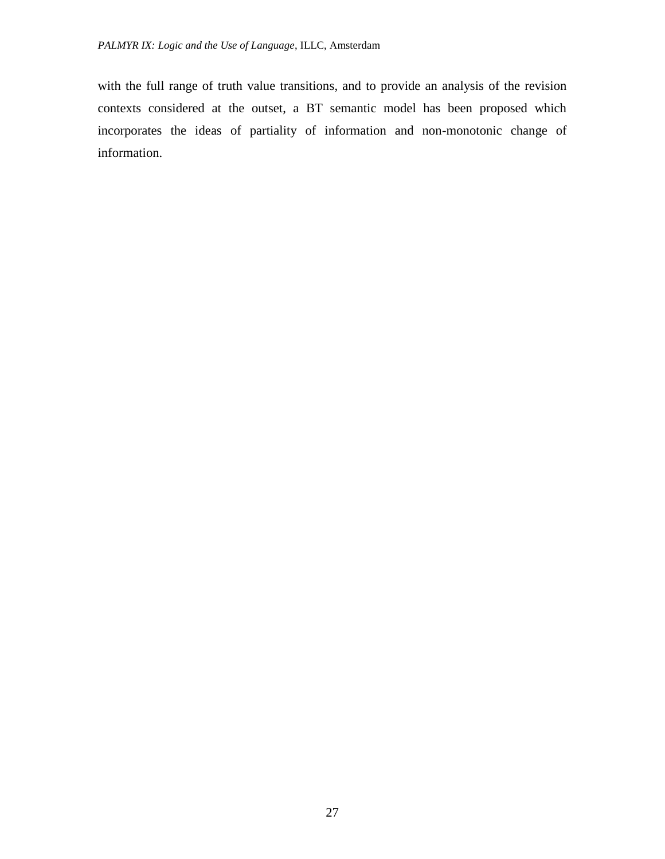with the full range of truth value transitions, and to provide an analysis of the revision contexts considered at the outset, a BT semantic model has been proposed which incorporates the ideas of partiality of information and non-monotonic change of information.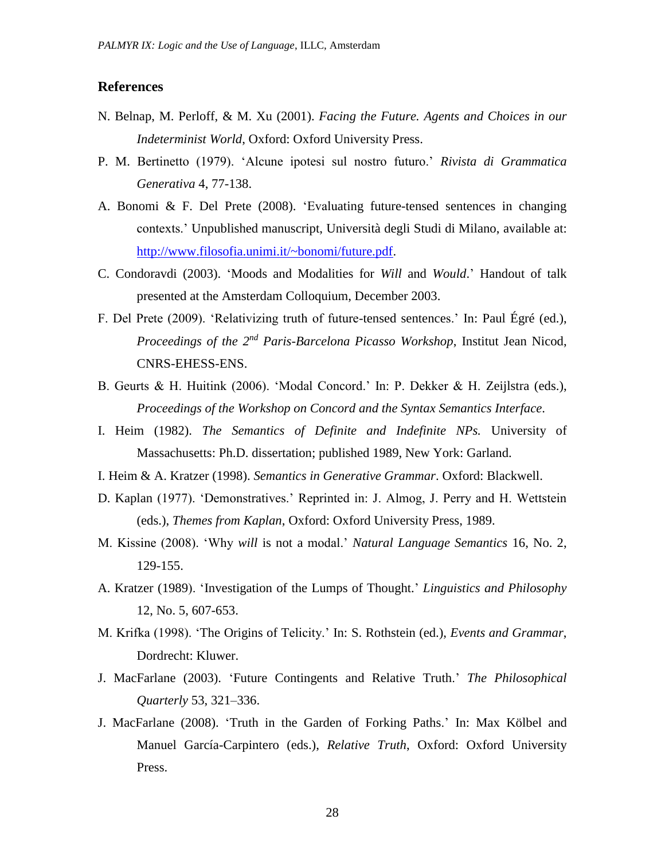# **References**

- N. Belnap, M. Perloff, & M. Xu (2001). *Facing the Future. Agents and Choices in our Indeterminist World*, Oxford: Oxford University Press.
- P. M. Bertinetto (1979). 'Alcune ipotesi sul nostro futuro.' *Rivista di Grammatica Generativa* 4, 77-138.
- A. Bonomi & F. Del Prete (2008). 'Evaluating future-tensed sentences in changing contexts.' Unpublished manuscript, Università degli Studi di Milano, available at: [http://www.filosofia.unimi.it/~bonomi/future.pdf.](http://www.filosofia.unimi.it/~bonomi/future.pdf)
- C. Condoravdi (2003). ['Moods and Modalities for](http://www-csli.stanford.edu/~condorav/AC/ac-han.pdf) *Will* and *Would*.' Handout of talk presented at the Amsterdam Colloquium, December 2003.
- F. Del Prete (2009). 'Relativizing truth of future-tensed sentences.' In: Paul Égré (ed.), *Proceedings of the 2nd Paris-Barcelona Picasso Workshop*, Institut Jean Nicod, CNRS-EHESS-ENS.
- B. Geurts & H. Huitink (2006). 'Modal Concord.' In: P. Dekker & H. Zeijlstra (eds.), *Proceedings of the Workshop on Concord and the Syntax Semantics Interface*.
- I. Heim (1982). *The Semantics of Definite and Indefinite NPs.* University of Massachusetts: Ph.D. dissertation; published 1989, New York: Garland.
- I. Heim & A. Kratzer (1998). *Semantics in Generative Grammar*. Oxford: Blackwell.
- D. Kaplan (1977). 'Demonstratives.' Reprinted in: J. Almog, J. Perry and H. Wettstein (eds.), *Themes from Kaplan*, Oxford: Oxford University Press, 1989.
- M. Kissine (2008). 'Why *will* is not a modal.' *Natural Language Semantics* 16, No. 2, 129-155.
- A. Kratzer (1989). 'Investigation of the Lumps of Thought.' *Linguistics and Philosophy*  12, No. 5, 607-653.
- M. Krifka (1998). 'The Origins of Telicity.' In: S. Rothstein (ed.), *Events and Grammar*, Dordrecht: Kluwer.
- J. MacFarlane (2003). 'Future Contingents and Relative Truth.' *The Philosophical Quarterly* 53, 321–336.
- J. MacFarlane (2008). 'Truth in the Garden of Forking Paths.' In: Max Kölbel and Manuel García-Carpintero (eds.), *Relative Truth*, Oxford: Oxford University Press.